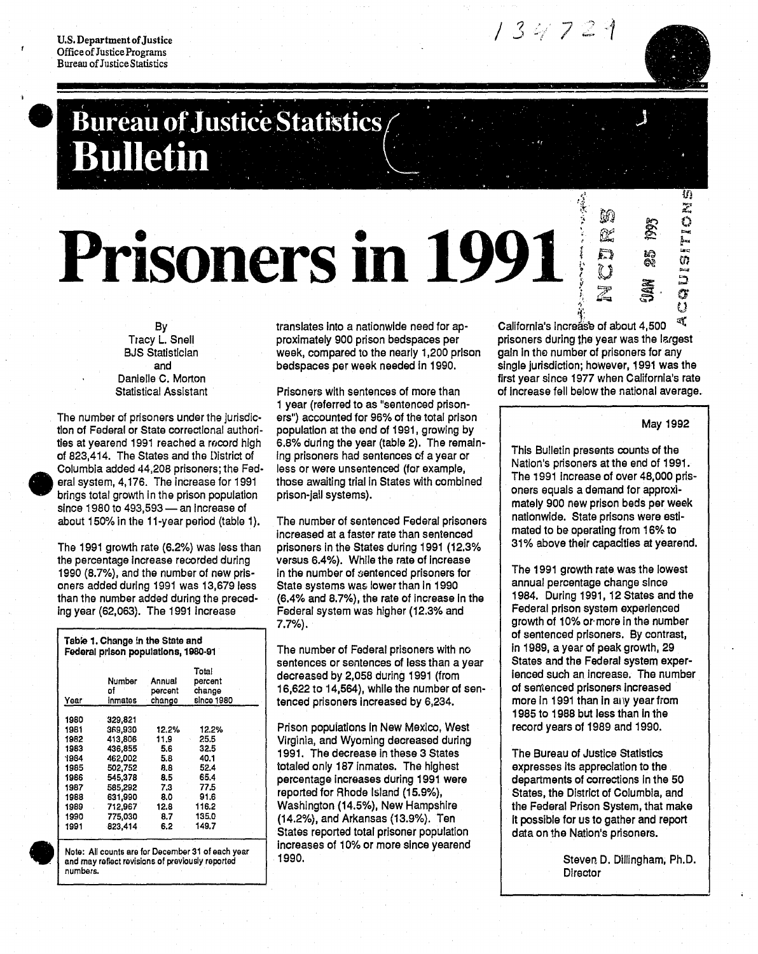U.S. Department of Justice Office of Justice Programs **Bureau of Justice Statistics** 

# Bureau of Justice Statistics

# **Prisoners in 1991**  $\frac{2}{5}$  $\frac{2}{5}$

By Tracy L. Snell BJS Statistician and Danlelle C. Morton Statistical Assistant

The number of prisoners under the jUrisdiction of Federal or State correctional authorities at yearend 1991 reached a record high of 823,414. The States and the District of Columbia added 44.208 prisoners; the Fed eral system, 4,176. The increase for 1991 brings total growth in the prison population since 1980 to  $493,593$  - an increase of about 150% in the 11-year period (table 1).

The 1991 growth rate (6.2%) was less than the percentage Increase recorded during 1990 {8.7%}. and the number of new prisoners added during 1991 was 13.679 less than the number added during the preced-Ing year {62.063}. The 1991 Increase

| Year  | Number<br>٥f<br>inmates | Annual<br>percent<br>change | Total<br>percent<br>change<br>since 1980 |
|-------|-------------------------|-----------------------------|------------------------------------------|
| 1980  | 329,821                 |                             |                                          |
| 1981  | 369,930                 | 12.2%                       | 12.2%                                    |
| 1982  | 413,806                 | 11.9                        | 25.5                                     |
| 1983  | 436,855                 | 5.6                         | 32.5                                     |
| 1984  | 462.002                 | 5.8                         | 40.1                                     |
| 1985  | 502,752                 | 8.8                         | 52.4                                     |
| 1986  | 545.378                 | 8.5                         | 65.4                                     |
| 1987  | 585.292                 | 7.3                         | 77.5                                     |
| 1988  | 631,990                 | 8.0                         | 91.6                                     |
| 1989  | 712,967                 | 12.8                        | 116.2                                    |
| 1990. | 775.030                 | 8.7                         | 135.0                                    |
| 1991  | 823,414                 | 6.2                         | 149.7                                    |

translates Into a nationwide need for approximately 900 prison bedspaces per week. compared to the nearly 1.200 prison bedspaces per week needed In 1990.

Prisoners with sentences of more than 1 year (referred to as "sentenced prisoners") accounted for 96% of the total prison population at the end of 1991. growing by 6.8% durlng the year (table 2). The remain-Ing prisoners had sentences of a year or less or were unsentenced (for example. those awaiting trial in States with combined prison-jail systems).

The number of sentenced Federal prisoners Increased at a faster rate than sentenced prisoners In the States during 1991 (12.3% versus 6.4%). While the rate of Increase In the number of sentenced prisoners for State systems was lower than in 1990 (6.4% and 8.7%), the rate of Increase In the Federal system was higher (12.3% and 7.7%).

The number of Federal prisoners with no sentences or sentences of less than a year decreased by 2.058 during 1991 (from 16,622 to 14,564), while the number of sentenced prisoners Increased by 6,234.

Prison populations in New Mexico, West Virginia, and Wyoming decreased during 1991. The decrease in thase 3 States totaled only 187 Inmates. The highest percentage increases during 1991 were reported for Rhode Island {15.9%}, Washington (14.5%), New Hampshire (14.2%), and Arkansas (13.9%). Ten States reported total prisoner population increases of 10% or more since yearend 1990.

 $\frac{1}{2}$ <br>California's increase of about 4,500  $\frac{1}{2}$ . prisoners during the year was the largest gain In the number of prisoners for any Single jurisdiction; however, 1991 was the first year since 1977 when California's rate of Increase fell below the national average.

.

•  $\mathbb{R}^2$  $\ddot{\hspace{1ex}}$   $\hspace{1ex}$   $\hspace{1ex}$   $\hspace{1ex}$   $\hspace{1ex}$   $\hspace{1ex}$   $\hspace{1ex}$   $\hspace{1ex}$   $\hspace{1ex}$ 

,~

 $\frac{1}{2}$   $\frac{1}{2}$   $\frac{2}{3}$ 

 $Z \quad \bar{S}$ 

134729

# May 1992

zz<br>Az

""<br>"""

Iiif.) ",,' @ll en

 $\begin{array}{ccccc} \vdots & \mathbb{S}^n & \mathbb{S}^n & \mathbb{O} \end{array}$ 

This Bulletin presents counts of the Nation's prisoners at the end of 1991. The 1991 increase of over 48,000 prisoners equals a demand for approximately 900 new prison beds per week nationwide. State prisons were estimated to be operating from 16% to 31% above their capacities at yearend.

The 1991 growth rate was the lowest annual percentage change since 1984. During 1991, 12 States and the Federal prison system experienced growth of 10% or· more in the number of sentenced prisoners. By contrast, in 1989, a year of peak growth. 29 States and the Federal system experienced such an Increase. The number of sentenced prisoners Increased more in 1991 than in any year from 1985 to 1988 but less than In the record years of 1989 and 1990.

The Bureau of Justice Statistics expresses its appreciation to the departments of corrections In the 50 States, the District of Columbia, and the Federal Prison System, that make It possible for us to gather and report data on the Nation's prisoners.

> Steven D. Dillingham, Ph.D. **Director**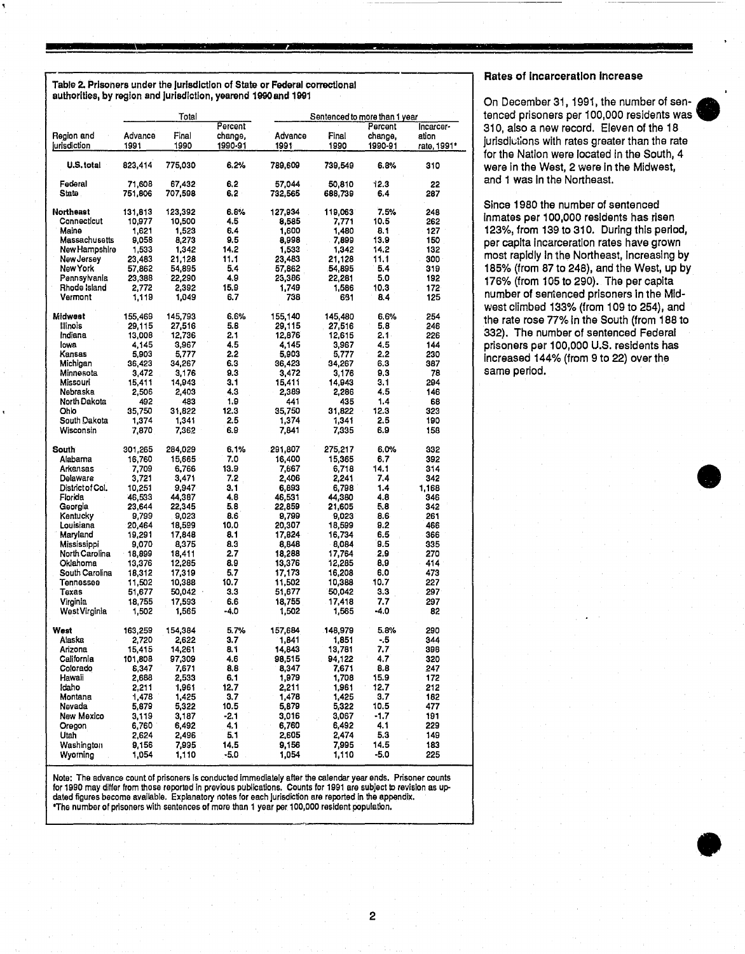Table 2. Prisoners under the jurisdiction of State or Federal correctional authorities, by region and Jurisdiction, yearend 1900and 1991

|                             |                  | Total            |              |                  |                  | Sentenced to more than 1 year |             |
|-----------------------------|------------------|------------------|--------------|------------------|------------------|-------------------------------|-------------|
|                             |                  |                  | Percent      |                  |                  | Percent                       | Incarcer-   |
| Region and                  | Advance          | Final            | change,      | Advance          | Final            | change,                       | ation       |
| jurisdiction                | 1991             | 1990             | 1990-91      | 1991             | 1990             | 1990-91                       | rate, 1991* |
| U.S.total                   | 823,414          | 775,030          | 6.2%         | 789,609          | 739,549          | 6.8%                          | 310         |
| Federal                     | 71.608           | 67,432           | 6,2          | 57,044           | 50,810           | 12.3                          | 22          |
| State                       | 751,806          | 707,598          | 6.2          | 732,565          | 688,739          | 6.4                           | 287         |
| <b>Northeast</b>            | 131,813          | 123,392          | 6.8%         | 127,934          | 119,063          | 7.5%                          | 248         |
| Connecticut                 | 10,977           | 10,500           | 4.5          | 8,585            | 7,771            | 10.5                          | 262         |
| Maine                       | 1,621            | 1,523            | 6.4          | 1,600            | 1,480            | 8.1                           | 127         |
| Massachusetts               | 9.058            | 8,273            | 9.5          | 8,998            | - 7,899<br>1.342 | 13.9                          | 150         |
| New Hampshire<br>New Jersey | 1,533<br>23,483  | 1,342<br>21,128  | 14.2<br>11.1 | 1,533<br>23,483  | 21,128           | 14.2<br>11.1                  | 132<br>300  |
| New York                    | 57,862           | 54,895           | 5.4          | 57,862           | 54,895           | 5.4                           | 319         |
| Pennsylvania                | 23,388           | 22,290           | 4.9          | 23,386           | 22,281           | 5.0                           | 192         |
| Rhode Island                | 2,772            | 2,392            | 15.9         | 1,749            | 1.586            | 10.3                          | 172         |
| Vermont                     | 1,119            | 1,049            | 6.7          | 738              | 651              | 8.4                           | 125         |
| Midwest                     | 155,469          | 145,793          | 6.6%         | 155,140          | 145,480          | 6.6%                          | 254         |
| Illinois                    | 29,115           | 27,516           | 5.8          | 29,115           | 27,516           | 5.8                           | 246         |
| Indiana                     | 13,008           | 12,736           | 2.1          | 12,876           | 12,615           | 2.1.                          | 226         |
| lowa                        | 4.145            | 3,967            | 4.5          | 4,145            | 3,967            | 4.5                           | 144         |
| Kansas                      | 5,903            | 5,777            | 2.2          | 5,903            | 5,777            | 2.2                           | 230         |
| Michigan                    | 36,423           | 34,267           | 6.3<br>9.3   | 36,423           | 34,267           | 6.3<br>9.3                    | 387<br>78   |
| Minnesota<br>Missouri       | 3,472<br>15,411  | 3,176<br>14,943  | 3.1          | 3,472<br>15,411  | 3,176<br>14,943  | 3.1                           | 294         |
| Nebraska                    | 2.506            | 2,403            | 4.3          | 2,389            | 2,286            | 4.5                           | 146         |
| North Dakota                | 492              | 483              | 1.9          | 441              | 435              | 1.4                           | 68          |
| Ohio                        | 35,750           | 31,822           | 12.3         | 35,750           | 31,822           | 12.3                          | 323         |
| South Dakota                | 1.374            | 1,341            | 2.5          | 1,374            | 1,341            | 2.5                           | 190         |
| Wisconsin                   | 7,870            | 7,362            | 6.9          | 7,841            | 7,335            | 6.9                           | 158         |
| South                       | 301,265          | 284,029          | 6.1%         | 291,807          | 275,217          | 6.0%                          | 332         |
| Alabama                     | 16,760           | 15,665           | 7.0          | 16,400           | 15,365           | 6.7                           | 392         |
| Arkansas                    | 7,709            | 6,766            | 13.9         | 7,667            | 6,718            | 14.1                          | 314         |
| Delaware                    | 3,721            | 3,471            | 7.2          | 2,406            | 2,241            | 7.4                           | 342         |
| District of Col.            | 10,251           | 9,947            | 3.1          | 6,893            | 6,798            | 1.4                           | 1,168       |
| Florida                     | 46,533           | 44,387           | 4.8          | 46,531           | 44,380           | 4.8                           | 346         |
| Georgia                     | 23,644           | 22,345           | 5.8          | 22,859<br>9,799  | 21,605           | 5.8                           | 342         |
| Kentucky<br>Louisiana       | 9,799<br>20,464  | 9,023<br>18,599  | 8.6<br>10.0  | 20,307           | 9,023<br>18,599  | 8.6<br>9.2                    | 261<br>466  |
| Maryland                    | 19,291           | 17,848           | 8.1          | 17,824           | 16,734           | 6.5                           | 366         |
| Mississippi                 | 9,070            | 8,375            | 8.3          | 8,848            | 8,084            | 9.5                           | 335         |
| North Carolina              | 18,899           | 18,411           | 2.7          | 18,288           | 17,764           | 2.9                           | 270         |
| Oklahoma                    | 13,376           | 12,285           | 8.9          | 13,376           | 12,285           | 8,9                           | 414         |
| South Carolina              | 18,312           | 17.319           | 5.7          | 17,173           | 16,208           | 6.0                           | 473         |
| Tennessee                   | 11,502           | 10,388           | 10.7         | 11,502           | 10,388           | 10.7                          | 227         |
| Texas                       | 51,677           | 50,042           | 3.3          | 51,677           | 50,042           | 3.3                           | 297         |
| Virginia                    | 18,755           | 17,593           | 6.6          | 18,755           | 17,418           | 7.7                           | 297         |
| West Virginia               | 1,502            | 1,565            | -4.0         | 1,502            | 1,565            | -4.0                          | 82          |
| West                        | 163,259          | 154,384          | 5.7%         | 157,684          | 148,979          | 5.8%                          | 290         |
| Alaska                      | 2.720            | 2.622            | 3.7          | 1.841            | 1.851            | - 5                           | 344         |
| Arizona<br>California       | 15,415           | 14,261<br>97,309 | 8.1<br>4.6   | 14,843<br>98,515 | 13,781           | 7,7<br>4.7                    | 398         |
| Colorado                    | 101,808<br>8,347 | 7,671            | 8.8          | 8,347            | 94,122<br>7,671  | 8.8                           | 320<br>247  |
| Hawaii                      | 2,688            | 2,533            | 6.1          | 1,979            | 1,708            | 15.9                          | 172         |
| ldaho                       | 2,211            | 1,961            | 12.7         | 2,211            | 1,961            | 12.7                          | 212         |
| Montana                     | 1,478            | 1,425            | 3.7          | 1,478            | 1,425            | 3.7                           | 182         |
| Nevada                      | 5,879            | 5,322            | 10.5         | 5,879            | 5,322            | 10.5                          | 477         |
| New Mexico                  | 3,119            | 3,187            | -2.1         | 3,016            | 3,067            | -1.7                          | 191         |
| Oregon                      | 6,760            | 6,492            | 4.1          | 6,760            | 6,492            | 4.1                           | 229         |
| Utah                        | 2,624            | 2,496            | 5.1          | 2,605            | 2,474            | 5.3                           | 149         |
| Washington                  | 9,156            | 7,995            | 14.5         | 9,156            | 7,995            | 14.5                          | 183         |
| Wyoming                     | 1,054            | 1,110            | $-5.0$       | 1,054            | 1,110            | -5.0                          | 225         |

Note: The advance count of prisoners Is conducted Immediately after the calendar year ends. Prisoner counts for 1990 may differ from those reported In previous publications. Counts for 1991 are subject to revision as updated figures become available. Explanatory notes for each Jurisdiction are reported in the appendix. \*The number of prisoners with sentences of more than 1 year per 100,000 resident population.

# Rates of Incarceration Increase

On December 31, 1991, the number of sen- • tenced prisoners per 100,000 residents was 310, also a new record. Eleven of the 18 jurisdictions with rates greater than the rate for the Nation were located In the South, 4 were In the West, 2 were In the Midwest, and 1 was In the Northeast.

Since 1980 the number of sentenced Inmates per 100,000 residents has risen 123%, from 139 to 310. During this period, per capita Incarceration rates have grown most rapidly in the Northeast, increasing by 185% (from 87 to 248), and the West, up by 176% (from 105 to 290). The per capita number of sentenced prisoners in the Midwest climbed 133% (from 109 to 254), and the rate rose 77% in the South (from 188 to 332). The number of sentenced Federal prisoners per 100,000 U.S. residents has Increased 144% (from 9 to 22) over the same period.



•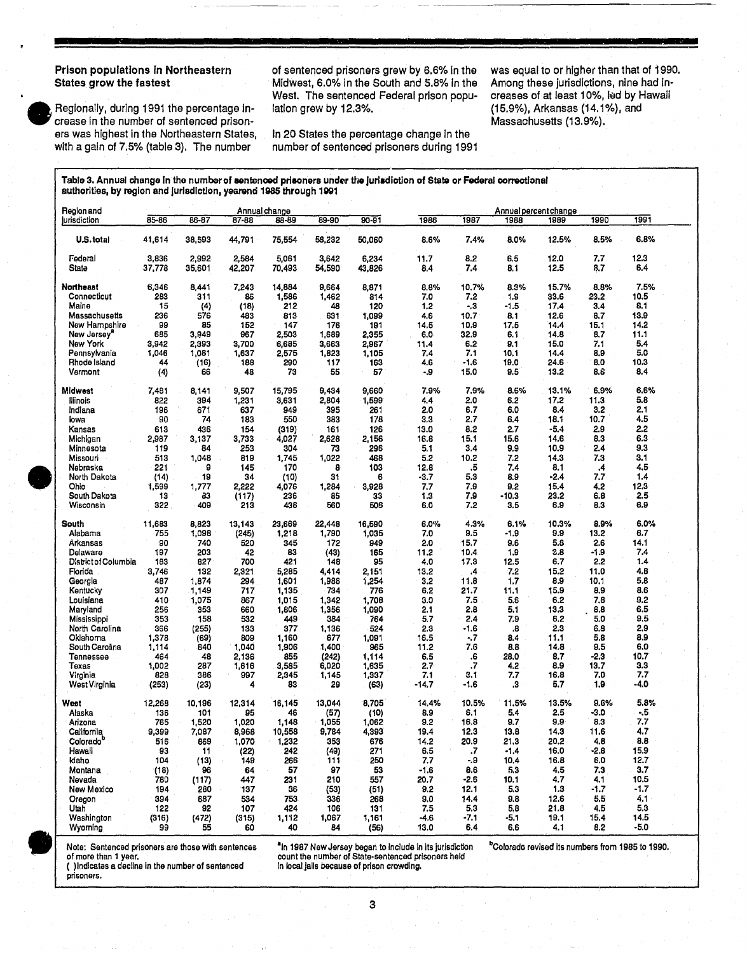# Prison populations In Northeastern States grow the fastest

•

Regionally, during 1991 the percentage Increase In the number of sentenced prisoners was highest In the Northeastern States, with a gain of 7.5% (table 3). The number

of sentenced prisoners grew by 6.6% In the Midwest, 6.0% In the South and 5.8% In the West. The sentenced Federal prison population grew by 12.3%.

In 20 States the percentage change In the number of sentenced prisoners during 1991 was equal to or higher than that of 1990. Among these jurisdictions, nine had Increases of at least 10%, led by Hawaii (15.9%), Arkansas (14.1%), and Massachusetts (13.9%).

Table 3. Annual change in the number of sentenced prisoners under the jurisdiction of State or Federal correctional authorities, by region and jurisdiction, yearend 1985 through 1991

| Region and                                         | 85-86  | 86-87               | 87-88  | Annual change | 89-90  | $90 - 91$                                  |                                                                      | 1987    |        | Annual percent change<br>1989                                | 1990   | 1991   |
|----------------------------------------------------|--------|---------------------|--------|---------------|--------|--------------------------------------------|----------------------------------------------------------------------|---------|--------|--------------------------------------------------------------|--------|--------|
| jurisdiction                                       |        |                     |        | 83-89         |        |                                            | 1986                                                                 |         | 1988   |                                                              |        |        |
| U.S.total                                          | 41,614 | 38,593              | 44,791 | 75,554        | 58,232 | 50,060                                     | 8.6%                                                                 | 7.4%    | 8.0%   | 12.5%                                                        | 8.5%   | 6.8%   |
| Federal                                            | 3,836  | 2,992               | 2,584  | 5,061         | 3,642  | 6,234                                      | 11.7                                                                 | 8.2     | 6.5    | 12.0                                                         | 7.7    | 12.3   |
| State                                              | 37,778 | 35,601              | 42,207 | 70,493        | 54,590 | 43,826                                     | 8.4                                                                  | 7.4     | 8.1    | 12.5                                                         | 8.7    | 6.4    |
| Northeast                                          | 6,346  | 8,441               | 7,243  | 14,884        | 9,664  | 8,871                                      | 8.8%                                                                 | 10.7%   | 8.3%   | 15.7%                                                        | 8.8%   | 7.5%   |
| Connecticut                                        | 283    | 311                 | 86     | 1,586         | 1,462  | 814                                        | 7.0                                                                  | 7.2     | 1.9    | 33.6                                                         | 23.2   | 10.5   |
| Maine                                              | 15     | $\langle 4 \rangle$ | (18)   | 212           | 48     | 120                                        | 1,2                                                                  | $-3$    | $-1.5$ | 17.4                                                         | 3.4    | 8.1    |
| Massachusetts                                      | 236    | 576                 | 483    | 813           | 631    | 1,099                                      | 4.6                                                                  | 10.7    | 8.1    | 12.6                                                         | 8.7    | 13.9   |
|                                                    |        |                     |        |               |        |                                            |                                                                      |         |        |                                                              |        |        |
| New Hampshire                                      | 99     | 85                  | 152    | 147           | 176    | 191                                        | 14.5                                                                 | 10.9    | 17.5   | 14.4                                                         | 15.1   | 14.2   |
| New Jersey"                                        | 685    | 3,949               | 967    | 2,503         | 1,689  | 2,355                                      | 6.0                                                                  | 32.9    | 6.1    | 14.8                                                         | 8.7    | 11.1   |
| New York                                           | 3,942  | 2,393               | 3,700  | 6,685         | 3,663  | 2,967                                      | 11.4                                                                 | 6.2     | 9,1    | 15.0                                                         | 7.1    | 5.4    |
| Pennsylvania                                       | 1,046  | 1,081               | 1,637  | 2,575         | 1,823  | 1,105                                      | 7.4                                                                  | 7.1     | 10,1   | 14.4                                                         | 8,9    | 5.0    |
| Rhode Island                                       | 44     | (16)                | 188    | 290           | 117    | 163                                        | 4.6                                                                  | $-1.6$  | 19.0   | 24.6                                                         | 8.0    | 10.3   |
| Vermont                                            | (4)    | 66                  | 48     | 73            | 55     | 57                                         | - 9                                                                  | 15.0    | 9.5    | 13.2                                                         | 8.6    | 8.4    |
| Midwest                                            | 7,481  | 8,141               | 9,507  | 15,795        | 9,434  | 9,660                                      | 7.9%                                                                 | 7.9%    | 8.6%   | 13.1%                                                        | 6.9%   | 6.6%   |
| lliinois                                           |        | 394                 |        |               | 2,804  |                                            | 4,4                                                                  | 2.0     | 6.2    | 17.2                                                         | 11.3   | 5.8    |
|                                                    | 822    |                     | 1,231  | 3,631         |        | 1,599                                      |                                                                      |         |        |                                                              |        |        |
| Indiana                                            | 196    | 671                 | 637    | 949           | 395    | 261                                        | 2.0                                                                  | 6.7     | 6.0    | 8.4                                                          | 3.2    | 2.1    |
| lowa                                               | 90     | 74                  | 183    | 550           | 383    | 178                                        | 3,3                                                                  | 2.7     | 6.4    | 18.1                                                         | 10.7   | 4.5    |
| Kansas                                             | 613    | 436                 | 154    | (319)         | 161    | 126                                        | 13.0                                                                 | 8.2     | 2.7    | -5.4                                                         | 2.9    | 2.2    |
| Michigan                                           | 2,987  | 3,137               | 3,733  | 4,027         | 2,628  | 2,156                                      | 16.8                                                                 | 15.1    | 15.6   | 14.6                                                         | 8.3    | 6.3    |
| Minnesota                                          | 119    | 84                  | 253    | 304           | 73     | 296                                        | 5.1                                                                  | 3.4     | 9.9    | 10.9                                                         | 2.4    | 9.3    |
| Missouri                                           | 513    | 1,048               | 819    | 1.745         | 1,022  | 468                                        | 5.2                                                                  | 10.2    | 7.2    | 14.3                                                         | 7,3    | 3.1    |
| Nebraska                                           | 221    | 9                   | 145    | 170           | 8      | 103                                        | 12.8                                                                 | .5      | 7.4    | 8.1                                                          | .4     | 4.5    |
| North Dakota                                       | (14)   | -19                 | 34     | (10)          | 31     | 6                                          | -3.7                                                                 | 5,3     | 8.9    | -2.4                                                         | 7.7    | 1.4    |
|                                                    |        |                     |        |               |        |                                            |                                                                      |         |        |                                                              |        |        |
| Ohio                                               | 1,599  | 1,777               | 2,222  | 4,076         | 1,284  | 3,928                                      | 7.7                                                                  | 7.9     | 9.2    | 15.4                                                         | 4.2    | 12.3   |
| South Dakota                                       | 13     | 83                  | (117)  | 236           | 85     | 33                                         | 1.3                                                                  | 7.9     | -10.3  | 23.2                                                         | 6.8    | 2.5    |
| Wisconsin                                          | 322    | 409                 | 213    | 436           | 560    | 506                                        | 6.0                                                                  | 7.2     | 3,5    | 6.9                                                          | 8.3    | 6.9    |
| South                                              | 11,683 | 8,823               | 13,143 | 23,669        | 22,448 | 16,590                                     | 6.0%                                                                 | 4.3%    | 6.1%   | 10.3%                                                        | 8.9%   | 6.0%   |
| Alabama                                            | 755    | 1,098               | (245)  | 1,218         | 1,790  | 1,035                                      | 7.0                                                                  | 9.5     | -1.9   | 9.9                                                          | 13.2   | 6.7    |
| Arkansas                                           | 90     | 740                 | 520    | 345           | 172    | 949                                        | 2.0                                                                  | 15.7    | 9.6    | 5.8                                                          | 2.6    | 14.1   |
| Delaware                                           |        |                     |        | 83            |        |                                            |                                                                      |         |        |                                                              |        | 7.4    |
|                                                    | 197    | 203                 | 42     |               | (43)   | 165                                        | 11.2                                                                 | 10.4    | 1.9    | 3.8                                                          | -1.9   |        |
| D'strict of Columbia                               | 183    | 827                 | 700    | 421           | 148    | 95                                         | 4.0                                                                  | 17.3    | 12.5   | 6.7                                                          | 2.2    | 1.4    |
| Florida                                            | 3,746  | 132                 | 2,321  | 5,285         | 4,414  | 2,151                                      | 13.2                                                                 | $\cdot$ | 7.2    | 15.2                                                         | 11.0   | 4.8    |
| Georgia                                            | 487    | 1,874               | 294    | 1,601         | 1,986  | 1,254                                      | 3.2                                                                  | 11.8    | 1.7    | 8.9                                                          | 10.1   | 5.8    |
| Kentucky                                           | 307    | 1.149               | 717    | 1,135         | 734    | 776                                        | 6.2                                                                  | 21.7    | 11.1   | 15.9                                                         | 8.9    | 8.6    |
| Louisiana                                          | 410    | 1,075               | 867    | 1,015         | 1,342  | 1.708                                      | 3.0                                                                  | 7.5     | 5.6    | 6.2                                                          | 7.8    | 9.2    |
| Maryland                                           | 256    | 353                 | 660    | 1,806         | 1,356  | 1,090                                      | 2.1                                                                  | 2.8     | 5.1    | 13.3                                                         | 8.8    | 6.5    |
| Mississippi                                        | 353    | 158                 | 532    | 449           | 384    | 764                                        | 5.7                                                                  | 2.4     | 7.9    | 6.2                                                          | 5.0    | 9,5    |
| North Carolina                                     | 366    |                     | 133    | 377           |        | 524                                        | 2.3                                                                  | $-1.6$  | 8.     | 2.3                                                          | 6.8    | 2,9    |
|                                                    |        | (255)               |        |               | 1,136  |                                            |                                                                      |         |        |                                                              |        |        |
| Oklahoma                                           | 1,378  | (69)                | 809    | 1,160         | 677    | 1,091                                      | 16.5                                                                 | -.7     | 8.4    | 11.1                                                         | 5.8    | 8.9    |
| South Carolina                                     | 1,114  | 840                 | 1,040  | 1,906         | 1,400  | 965                                        | 11.2                                                                 | 7.6     | 8.8    | 14.8                                                         | 9.5    | 6.0    |
| Tennessee                                          | 464    | 48                  | 2,136  | 855           | (242)  | 1,114                                      | 6.5                                                                  | .6      | 28.0   | 8.7                                                          | $-2.3$ | 10.7   |
| Texas                                              | 1,002  | 287                 | 1,616  | 3,585         | 6,020  | 1,635                                      | 2.7                                                                  | .7      | 4.2    | 8.9                                                          | 13.7   | 3.3    |
| Virginia                                           | 828    | 386                 | 997    | 2,345         | 1,145  | 1,337                                      | 7.1                                                                  | 3.1     | 7.7    | 16.8                                                         | 7.0    | 7.7    |
| West Virginia                                      | (253)  | (23)                | 4      | 83            | 29     | (63)                                       | -14.7                                                                | $-1.6$  | .3     | 5.7                                                          | 1.9    | -4.0   |
| West                                               | 12,268 | 10,196              | 12,314 | 16,145        | 13,044 | 8,705                                      | 14.4%                                                                | 10.5%   | 11.5%  | 13.5%                                                        | 9.6%   | 5.8%   |
| Alaska                                             | 136    | 101                 | 95     | 46            | (57)   | (10)                                       | 8.9                                                                  | 6.1     | 5.4    | 2,5                                                          | -3.0   | $-5$   |
| Arizona                                            | 765    | 1,520               | 1,020  | 1,148         | 1,055  | 1,062                                      | 9.2                                                                  | 16.8    | 9.7    | 9.9                                                          | 8.3    | 7.7    |
|                                                    |        |                     |        |               |        |                                            |                                                                      |         |        |                                                              |        |        |
| California                                         | 9,399  | 7,087               | 8,968  | 10,558        | 9,784  | 4,393                                      | 19.4                                                                 | 12.3    | 13.8   | 14.3                                                         | 11.6   | 4.7    |
| Colorado <sup>b</sup>                              | 516    | 869                 | 1,070  | 1,232         | 353    | 676                                        | 14.2                                                                 | 20.9    | 21.3   | 20.2                                                         | 4.8    | 8.8    |
| Hawaii                                             | 93     | 11                  | (22)   | 242           | (49)   | 271                                        | 6.5                                                                  | .7      | -1.4   | 16.0                                                         | -2.8   | 15.9   |
| kiaho                                              | 104    | (13)                | 149    | 266           | 111    | 250                                        | 7.7                                                                  | - 9     | 10.4   | 16.8                                                         | 6.0    | 12.7   |
| Montana                                            | (18)   | 96                  | 64     | 57            | 97     | 53                                         | $-1.6$                                                               | 8.6     | 5.3    | 4.5                                                          | 7.3    | 3.7    |
| Nevada                                             | 780    | (117)               | 447    | 231           | 210    | 557                                        | 20.7                                                                 | $-2.6$  | 10.1   | 4.7                                                          | 4.1    | 10.5   |
| New Mexico                                         | 194    | 280                 | 137    | 36            | (53)   | (51)                                       | 9.2                                                                  | 12.1    | 5.3    | 1.3                                                          | -1.7   | $-1.7$ |
|                                                    |        |                     |        |               |        |                                            |                                                                      |         |        |                                                              |        |        |
| Oregon                                             | 394    | 687                 | 534    | 753           | 336    | 268                                        | 9.0                                                                  | 14.4    | 9.8    | 12.6                                                         | 5.5    | 4.1    |
| Utah                                               | 122    | 92                  | 107    | 424           | 106    | 131                                        | 7.5                                                                  | 5.3     | 5.8    | 21.8                                                         | 4.5    | 5.3    |
| Washington                                         | (316)  | (472)               | (315)  | 1,112         | 1,067  | 1,161                                      | -4.6                                                                 | -7.1    | -5.1   | 19.1                                                         | 15.4   | 14.5   |
| Wvomina                                            | 99     | 55                  | 60     | 40            | 84     | (56)                                       | 13.0                                                                 | 6.4     | 6,6    | 4.1                                                          | 8.2    | $-5.0$ |
|                                                    |        |                     |        |               |        |                                            | <sup>a</sup> In 1987 New Jersey began to include in its jurisdiction |         |        | <sup>b</sup> Colorado revised its numbers from 1985 to 1990. |        |        |
| Note: Sentenced prisoners are those with sentences |        |                     |        |               |        |                                            |                                                                      |         |        |                                                              |        |        |
| of more than 1 year.                               |        |                     |        |               |        |                                            | count the number of State-sentenced prisoners held                   |         |        |                                                              |        |        |
| () Indicates a decline in the number of sentenced  |        |                     |        |               |        | in local jails because of prison crowding. |                                                                      |         |        |                                                              |        |        |

3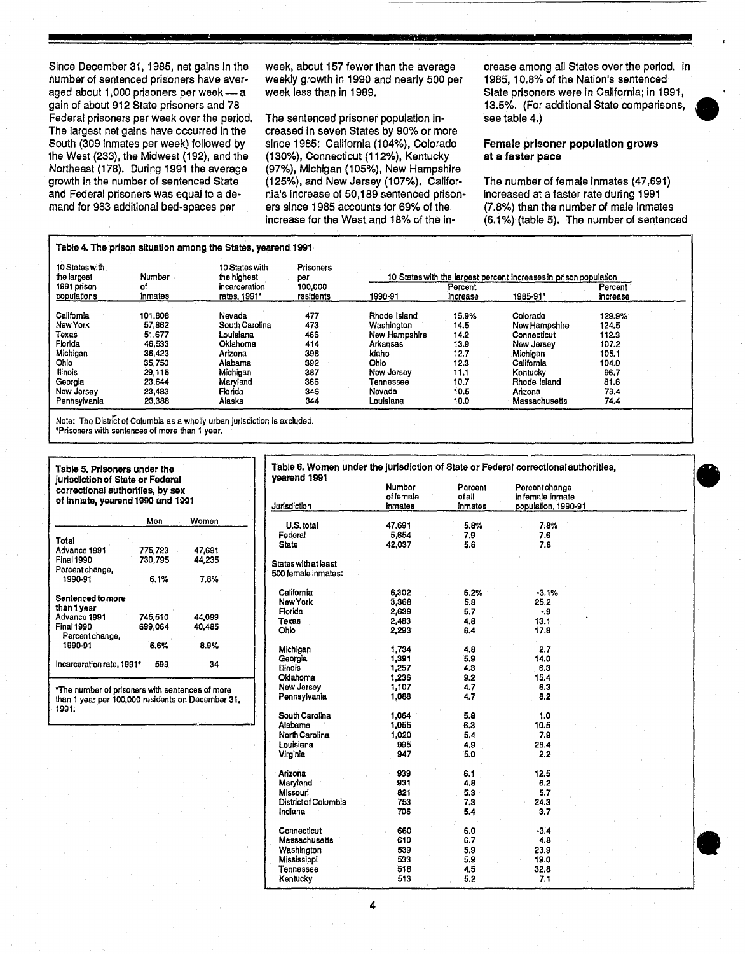Since December 31, 1985, net gains In the number of sentenced prisoners have averaged about  $1,000$  prisoners per week - a gain of about 912 State prisoners and 78 Federal prisoners per week over the period. The largest net gains have occurred In the South (309 Inmates per week) followed by the West (233), the Midwest (192), and the Northeast (178). During 1991 the average growth in the number of sentenced Slate and Federal prisoners was equal to a demand for 963 additional bed-spaces par

week, about 157 fewer than the average weekly growth In 1990 and nearly 500 per week less than in 1989.

"

The sentenced prisoner population Increased In seven States by 90% or more since 1985: California (104%), Colorado (130%), Connecticut (112%), Kentucky (97%), Michigan (105%), New Hampshire (125%), and New Jersey (107%). California's Increase of 50,189 sentenced prisoners since 1985 accounts for 69% of the Increase for the West and 18% of the Increase among all States over the period. In 1985,10.8% of the Nation's sentenced State prisoners were In California; in 1991, 13.5%. (For additional State comparisons, • see table 4.)

Female prisoner population grows at a faster pace

The number of female inmates (47,691) increased at a faster rate during 1991 (7.8%) than the number of male Inmates (6.1 %) (table 5). The number of sentenced

 $\bullet$ 

**•** 

|                               |               | Table 4. The prison situation among the States, yearend 1991 |                         |               |                     |                                                                   |                     |  |
|-------------------------------|---------------|--------------------------------------------------------------|-------------------------|---------------|---------------------|-------------------------------------------------------------------|---------------------|--|
| 10 States with<br>the largest | Number        | 10 States with<br>the highest                                | <b>Prisoners</b><br>per |               |                     | 10 States with the largest percent increases in prison population |                     |  |
| 1991 prison<br>populations    | of<br>inmates | incarceration<br>rates, 1991*                                | 100.000<br>residents    | 1990-91       | Percent<br>increase | 1985-91*                                                          | Percent<br>increase |  |
| California                    | 101.808       | Nevada                                                       | 477                     | Rhode Island  | 15.9%               | Colorado                                                          | 129.9%              |  |
| New York                      | 57,862        | South Carolina                                               | 473                     | Washington    | 14.5                | New Hampshire                                                     | 124.5               |  |
| Texas                         | 51.677        | Louislana                                                    | 466                     | New Hampshire | 14.2                | Connecticut                                                       | 112.3               |  |
| Florida                       | 46.533        | Oklahoma                                                     | 414                     | Arkansas      | 13.9                | New Jersey                                                        | 107.2               |  |
| Michigan                      | 36,423        | Arizona                                                      | 398                     | Idaho         | 12.7                | Michigan                                                          | 105.1               |  |
| Ohio .                        | 35,750        | Alabama                                                      | 392                     | Ohio          | 12.3                | California                                                        | 104.0               |  |
| lllinois                      | 29.115        | Michigan                                                     | 387                     | New Jersey    | 11.1                | Kentucky                                                          | 96.7                |  |
| Georgia                       | 23,644        | Maryland                                                     | 366                     | Tennessee     | 10.7                | Rhode Island                                                      | 81.6                |  |
| New Jersey                    | 23,483        | Florida                                                      | 345                     | Nevada        | 10.5                | Arizona                                                           | 79.4                |  |
| Pennsylvania                  | 23,388        | Alaska                                                       | 344                     | Louisiana     | 10.0                | Massachusetts                                                     | 74.4                |  |

Note: The District of Columbia as a wholly urban jurisdiction is excluded. 'Prisoners with sentences of more than 1 year.

| Table 5. Prisoners under the<br>jurisdiction of State or Federal<br>correctional authorities, by sex | Table 6. Women เ<br>vearend 1991 |        |                             |
|------------------------------------------------------------------------------------------------------|----------------------------------|--------|-----------------------------|
| of inmate, yearend 1990 and 1991                                                                     |                                  |        | Jurisdiction                |
|                                                                                                      | Men                              | Women  | U.S. total                  |
|                                                                                                      |                                  |        | Federal                     |
| Total                                                                                                |                                  |        | <b>State</b>                |
| Advance 1991                                                                                         | 775.723                          | 47.691 |                             |
| Final 1990                                                                                           | 730.795                          | 44.235 | <b>States with at least</b> |
| Percent change,                                                                                      |                                  |        | 500 female inmates:         |
| 1990-91                                                                                              | 6.1%                             | 7.8%   |                             |
| <b>Sentenced to more</b>                                                                             |                                  |        | California                  |
| than 1 vear                                                                                          |                                  |        | New York                    |
| Advance 1991                                                                                         | 745,510                          | 44.099 | Florida                     |
| <b>Final 1990</b>                                                                                    | 699,064                          | 40.485 | Toxas                       |
|                                                                                                      |                                  |        | Ohio                        |
| Percent change,                                                                                      | 6.6%                             | 8.9%   |                             |
| 1990-91                                                                                              |                                  |        | Michigan                    |
|                                                                                                      |                                  |        | Georgia                     |
| Incarceration rate, 1991*                                                                            | 599                              | 34     | llinois                     |
|                                                                                                      |                                  |        | Oklahoma                    |
|                                                                                                      |                                  |        | Now Jorcov                  |

| Table 5. Prisoners under the                                                                             |         |        | Table 6. Women under the jurisdiction of State or Federal correctional authorities.<br>vearend 1991 |                  |                                   |                     |  |
|----------------------------------------------------------------------------------------------------------|---------|--------|-----------------------------------------------------------------------------------------------------|------------------|-----------------------------------|---------------------|--|
| iurisdiction of State or Federal<br>correctional authorities, by sex<br>of inmate, yearend 1990 and 1991 |         |        | Number<br>offemale                                                                                  | Percent<br>ofall | Percentchange<br>in female inmate |                     |  |
|                                                                                                          |         |        | Jurisdiction                                                                                        | inmates          | inmates                           | population, 1990-91 |  |
|                                                                                                          | Мөп     | Women  | U.S. total                                                                                          | 47,691           | 5.8%                              | 7.8%                |  |
|                                                                                                          |         |        | Federal                                                                                             | 5,654            | 7.9                               | 7.6                 |  |
| Total                                                                                                    |         |        | <b>State</b>                                                                                        | 42,037           | 5.6                               | 7.8                 |  |
| Advance 1991                                                                                             | 775,723 | 47,691 |                                                                                                     |                  |                                   |                     |  |
| Final 1990                                                                                               | 730,795 | 44,235 | <b>States with at least</b>                                                                         |                  |                                   |                     |  |
| Percent change,                                                                                          |         |        | 500 female inmates:                                                                                 |                  |                                   |                     |  |
| 1990-91                                                                                                  | 6.1%    | 7.8%   |                                                                                                     |                  |                                   |                     |  |
|                                                                                                          |         |        | California                                                                                          | 6,302            | 6.2%                              | $-3.1%$             |  |
| Sentenced to more                                                                                        |         |        | <b>New York</b>                                                                                     | 3,368            | 5.8                               | 25.2                |  |
| than 1 year                                                                                              |         |        | Florida                                                                                             | 2,639            | 5.7                               | $-9$                |  |
| Advance 1991                                                                                             | 745,510 | 44.099 | <b>Texas</b>                                                                                        | 2,483            | 4.8                               | 13.1                |  |
| Final 1990                                                                                               | 699,064 | 40,485 | Ohio                                                                                                | 2,293            | 6.4                               | 17.8                |  |
| Percent change,                                                                                          |         |        |                                                                                                     |                  |                                   |                     |  |
| 1990-91                                                                                                  | 6.6%    | 8.9%   | Michigan                                                                                            | 1,734            | 4.8                               | 2.7                 |  |
|                                                                                                          |         |        | Georgia                                                                                             | 1,391            | 5.9                               | 14.0                |  |
| Incarceration rate, 1991*                                                                                | 599     | 34     | <b>Illinois</b>                                                                                     | 1,257            | 4.3                               | 6.3                 |  |
|                                                                                                          |         |        | Oklahoma                                                                                            | 1,236            | 9.2                               | 15.4                |  |
| *The number of prisoners with sentences of more                                                          |         |        | New Jersey                                                                                          | 1,107            | 4.7                               | 6.3                 |  |
| than 1 yea: per 100,000 residents on December 31.<br>1991.                                               |         |        | Pennsylvania                                                                                        | 1,088            | 4,7                               | 8.2                 |  |
|                                                                                                          |         |        | South Carolina                                                                                      | 1,064            | 5.8                               | 1.0                 |  |
|                                                                                                          |         |        | Alabama                                                                                             | 1,055            | 6.3                               | 10.5                |  |
|                                                                                                          |         |        | North Carolina                                                                                      | 1.020            | 5.4                               | 7.9                 |  |
|                                                                                                          |         |        | Louisiana                                                                                           | 995              | 4.9                               | 28.4                |  |
|                                                                                                          |         |        | Virginia                                                                                            | 947              | 5.0                               | 2.2                 |  |
|                                                                                                          |         |        |                                                                                                     |                  |                                   |                     |  |
|                                                                                                          |         |        | Arizona                                                                                             | 939              | 6.1                               | 12.5                |  |
|                                                                                                          |         |        | Maryland                                                                                            | 931              | 4.8                               | 6.2                 |  |
|                                                                                                          |         |        | Missouri                                                                                            | 821              | 5.3                               | 5.7                 |  |
|                                                                                                          |         |        | District of Columbia                                                                                | 753              | 7.3                               | 24.3                |  |
|                                                                                                          |         |        | Indiana                                                                                             | 706              | 5.4                               | 3.7                 |  |
|                                                                                                          |         |        |                                                                                                     |                  |                                   |                     |  |
|                                                                                                          |         |        | Connecticut                                                                                         | 660              | 6.0                               | $-3.4$              |  |
|                                                                                                          |         |        | Massachusetts                                                                                       | 610              | 6.7                               | 4.8                 |  |
|                                                                                                          |         |        | Washington                                                                                          | 539              | 5.9                               | 23.9                |  |
|                                                                                                          |         |        | Mississippi                                                                                         | 533              | 5.9                               | 19.0                |  |
|                                                                                                          |         |        | Tennessee                                                                                           | 518              | 4.5                               | 32.8                |  |
|                                                                                                          |         |        | Kentucky                                                                                            | 513              | 5.2                               | 7.1                 |  |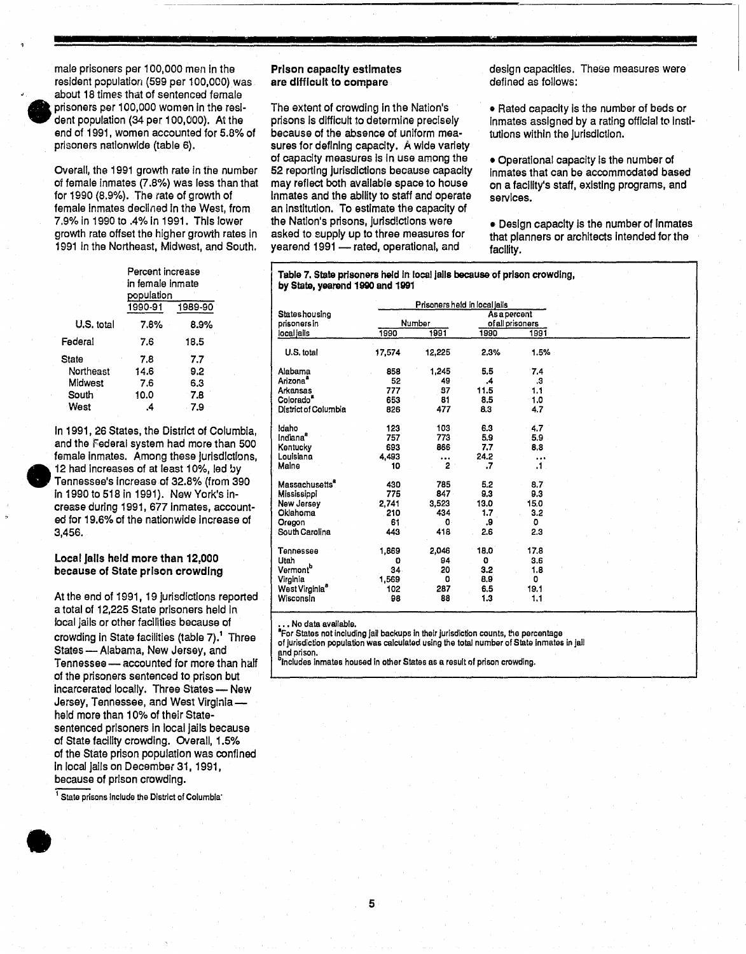•

male prisoners per 100,000 men In the resident population (599 per 100,000) was about 18 times that of sentenced female prisoners per 100,000 women In the resident population  $(34$  per  $100,000)$ . At the end of 1991, women accounted for 5.8% of prisoners nationwide (table 6).

Overall, the 1991 growth rate in the number of female Inmates (7.8%) was less than that for 1990 (8.9%). The rate of growth of female Inmates declined In the West, from 7.9% in 1990 to .4% In 1991. This lower growth rate offset the higher growth rates in 1991 In the Northeast, Midwest, and South.

| 7.8% | 8.9%    |                                                               |
|------|---------|---------------------------------------------------------------|
| 7.6  | 18.5    |                                                               |
| 7.8  | 7.7     |                                                               |
| 14.6 | 9.2     |                                                               |
| 7.6  | 6.3     |                                                               |
| 10.0 | 7.8     |                                                               |
| .4   | 7.9     |                                                               |
|      | 1990-91 | Percent increase<br>in female inmate<br>population<br>1989-90 |

In 1991, 26 States, the District of Columbia, and the Federal system had more than SOD female inmates. Among these jurisdictions, 12 had Increases of at least 10%, led by Tennessee's Increase of 32.8% (from 390 In 1990 to 518 in 1991). New York's In crease during 1991, 677 Inmates, accounted for 19.6% of the nationwide Increase of 3,456.

## Local jails held more than 12,000 because of State prison crowding

At the end of 1991, 19 jurisdictions reported a total of 12,225 State prisoners held In local jails or other facilities because of crowding in State facilities (table 7).<sup>1</sup> Three States - Alabama, New Jersey, and Tennessee - accounted for more than half of the prisoners sentenced to prison but incarcerated locally. Three States - New Jersey, Tennessee, and West Virginiahald more than 10% of their Statesentenced prisoners In local jails because of State facility crowding. Overall, 1.5% of the State prison population was confined In local jails on December 31, 1991, because of prison crowding.

<sup>1</sup> State prisons include the District of Columbia'

•

Prison capacity estimates are difficult to compare

The extent of crowding in the Nation's prisons is difficult to determine precisely because of the absence of uniform measures for defining capacity. A wide variety of capacity measures Is In use among the 52 reporting jurisdictions because capacity may reflect both available space to house Inmates and the ability to staff and operate an Institution. To estimate the capacity of the Nation's prisons, jurisdictions were asked to supply up to three measures for yearend 1991 - rated, operational, and

design capacities. These measures were defined as follows:

**II** 

• Rated capacity is the number of beds or Inmates assigned by a rating official to institutlons within the Jurisdiction.

• Operational capacity Is the number of Inmates that can be accommodated based on a facility's staff, existing programs, and services.

• Design capacity is the number of inmates that planners or architects Intended for the facility.

| Table 7. State prisoners held in local jails because of prison crowding, |  |
|--------------------------------------------------------------------------|--|
| by State, yearend 1990 and 1991                                          |  |

|                            |        |          | Prisoners held in local jails |                  |  |  |  |
|----------------------------|--------|----------|-------------------------------|------------------|--|--|--|
| <b>Stateshousing</b>       |        |          | As a percent                  |                  |  |  |  |
| prisoners in               |        | Number   |                               | of all prisoners |  |  |  |
| local lails                | 1990   | 1991     | 1990                          | 1991             |  |  |  |
| U.S. total                 | 17,574 | 12,225   | 2.3%                          | 1.5%             |  |  |  |
| Alabama                    | 858    | 1,245    | 5,5                           | 7.4              |  |  |  |
| Arizona <sup>a</sup>       | 52     | 49       | .4                            | .3               |  |  |  |
| Arkansas                   | 777    | 37       | 11.5                          | 1.1              |  |  |  |
| Colorado <sup>ª</sup>      | 653    | 81       | 8.5                           | 1.0              |  |  |  |
| District of Columbia       | 826    | 477      | 8.3                           | 4.7              |  |  |  |
|                            |        |          |                               |                  |  |  |  |
| idaho                      | 123    | 103      | 6.3                           | 4.7              |  |  |  |
| Indiana <sup>s</sup>       | 757    | 773      | 5.9                           | 5.9              |  |  |  |
| Kentucky                   | 693    | 866      | 7.7                           | 8.8              |  |  |  |
| Louisiana                  | 4,493  | $\cdots$ | 24.2                          | $\cdots$         |  |  |  |
| Maine                      | 10     | 2        | .7                            | $\cdot$ 1.       |  |  |  |
| Massachusetts <sup>a</sup> | 430    | 785      | 5.2                           | 8.7              |  |  |  |
| Mississippi                | 775    | 847      | 9.3                           | 9.3              |  |  |  |
| New Jersey                 | 2,741  | 3.523    | 13.0                          | 15.0             |  |  |  |
| Oklahoma                   | 210    | 434      | 1.7                           | 3.2              |  |  |  |
| Oregon                     | 61     | 0        | 9.                            | ٥                |  |  |  |
| South Carolina             | 443    | 418      | 2.6                           | 2.3              |  |  |  |
|                            |        |          |                               |                  |  |  |  |
| Tennessee                  | 1,869  | 2,046    | 18.0                          | 17.8             |  |  |  |
| Utah                       | O      | 94       | $\mathbf 0$                   | 3.6              |  |  |  |
| Vermont <sup>b</sup>       | 34     | 20       | 3.2                           | 1.8              |  |  |  |
| Virginia                   | 1,569  | o        | 8.9                           | o                |  |  |  |
| West Virginia <sup>8</sup> | 102    | 287      | 6.5                           | 19.1             |  |  |  |
| Wisconsin                  | 98     | 88       | 1.3                           | 1,1              |  |  |  |

••• No data avaJlable.

**For States not including jail backups in their jurisdiction counts, the percentage** of jurisdiction population was calculated using the total number of State inmates in jail ~nd prison.

Includes inmates housed in other States as a result of prison crowding.

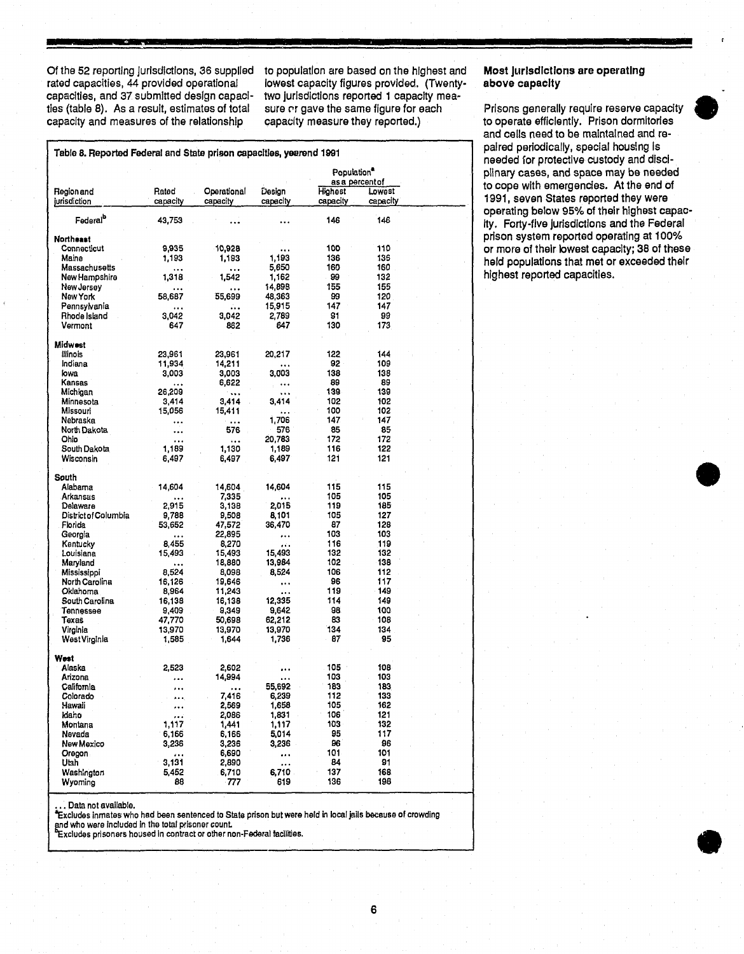Of the 52 reporting jurisdictions, 36 supplied to population are based on the highest and **Most jurisdictions are operating**<br>
rated capacities, 44 provided operational iowest capacity figures provided. (Twenty- above capac rated capacities, 44 provided operational lowest capacity figures provided. (Twenty-<br>capacities, and 37 submitted design capaci- two jurisdictions reported 1 capacity mea-Critis of reporting jurisdictions, so supplied to population are based on the highest and most jurisdictions are operating<br>
rated capacities, and 37 submitted design capaci- two jurisdictions reported 1 capacity mea-<br>
ties capacity and measures of the relationship capacIty measure they reported.} to operate efficiently. Prison dormitories

| Table 8. Reported Federal and State prison capacities, yearend 1991 |                    |                         |                    |                            |                    |  | paired periodically, special housing is<br>needed for protective custody and disci-          |
|---------------------------------------------------------------------|--------------------|-------------------------|--------------------|----------------------------|--------------------|--|----------------------------------------------------------------------------------------------|
|                                                                     |                    |                         |                    | Population <sup>®</sup>    | as a percent of    |  | plinary cases, and space may be needed<br>to cope with emergencies. At the end of            |
| Region and<br>jurisdiction                                          | Rated<br>capacity  | Operational<br>capacity | Design<br>capacity | <b>Highest</b><br>capacity | Lowest<br>capacity |  | 1991, seven States reported they were                                                        |
| Federal <sup>b</sup>                                                | 43,753             |                         | $\ddotsc$          | 146                        | 146                |  | operating below 95% of their highest capac-<br>ity. Forty-five jurisdictions and the Federal |
| <b>Northeast</b>                                                    |                    |                         |                    |                            |                    |  | prison system reported operating at 100%                                                     |
| Connecticut                                                         | 9,935              | 10,928                  |                    | 100                        | 110                |  | or more of their lowest capacity; 38 of these                                                |
| Maine<br>Massachusetts                                              | 1,193              | 1,193                   | 1,193<br>5,650     | 136<br>160                 | 136<br>160         |  | held populations that met or exceeded their                                                  |
| New Hampshire                                                       | $\cdots$<br>1,318  | $\cdots$<br>1,542       | 1,162              | 99                         | 132                |  | highest reported capacities.                                                                 |
| New Jersey                                                          |                    | $\cdots$                | 14,898             | 155                        | 155                |  |                                                                                              |
| New York                                                            | 58,687             | 55,699                  | 48,363             | 99                         | 120                |  |                                                                                              |
| Pennsylvania                                                        | $\cdots$           | $\cdots$                | 15,915             | 147                        | 147                |  |                                                                                              |
| Rhode Island                                                        | 3,042              | 3,042                   | 2,789              | 81                         | 99                 |  |                                                                                              |
| Vermont                                                             | 647                | 862                     | 647                | 130                        | 173                |  |                                                                                              |
| Midwest                                                             |                    |                         |                    |                            |                    |  |                                                                                              |
| llinois                                                             | 23,961             | 23,961                  | 20,217             | 122                        | 144                |  |                                                                                              |
| Indiana                                                             | 11,934             | 14,211                  | $\cdots$           | 92                         | 109                |  |                                                                                              |
| lowa                                                                | 3,003              | 3,003                   | 3,003              | 138                        | 138                |  |                                                                                              |
| Kansas                                                              | $\cdots$<br>26,209 | 6,622                   | $\cdots$           | 89<br>139                  | 89<br>139          |  |                                                                                              |
| Michigan<br>Minnesota                                               | 3,414              | $\ldots$<br>3,414       | $\cdots$<br>3,414  | 102                        | 102                |  |                                                                                              |
| Missouri                                                            | 15,056             | 15,411                  | $\ldots$           | 100                        | 102                |  |                                                                                              |
| Nebraska                                                            | $\ddotsc$          | $\cdots$                | 1,706              | 147                        | 147                |  |                                                                                              |
| North Dakota                                                        |                    | 576                     | 576                | 85                         | 85                 |  |                                                                                              |
| Ohio                                                                | $\cdots$           | $\dots$                 | 20,783             | 172                        | 172                |  |                                                                                              |
| South Dakota                                                        | 1,189              | 1,130                   | 1,189              | 116                        | 122                |  |                                                                                              |
| Wisconsin                                                           | 6,497              | 6,497                   | 6,497              | 121                        | 121                |  |                                                                                              |
| South                                                               |                    |                         |                    |                            |                    |  |                                                                                              |
| Alabama                                                             | 14,604             | 14,604                  | 14,604             | 115                        | 115                |  |                                                                                              |
| Arkansas                                                            | $\cdots$           | 7,335                   | $\ldots$           | 105                        | 105                |  |                                                                                              |
| Delaware                                                            | 2,915              | 3,138                   | 2,015              | 119                        | 185                |  |                                                                                              |
| District of Columbia<br>Florida                                     | 9,788<br>53,652    | 9,508<br>47,572         | 8,101<br>36,470    | 105<br>87                  | 127<br>128         |  |                                                                                              |
| Georgia                                                             | $\cdots$           | 22,895                  | $\cdots$           | 103                        | 103                |  |                                                                                              |
| Kentucky                                                            | 8,455              | 8,270                   |                    | 116                        | 119                |  |                                                                                              |
| Louisiana                                                           | 15,493             | 15,493                  | 15,493             | 132                        | 132                |  |                                                                                              |
| Maryland                                                            | $\ddotsc$          | 18,880                  | 13,984             | 102                        | 138                |  |                                                                                              |
| Mississippi                                                         | 8,524              | 8,098                   | 8,524              | 106                        | 112                |  |                                                                                              |
| North Carolina                                                      | 16,126             | 19,646                  |                    | 96                         | 117                |  |                                                                                              |
| Oklahoma<br>South Carolina                                          | 8,964<br>16,138    | 11,243<br>16,138        | $\cdots$<br>12,335 | 119<br>114                 | 149<br>149         |  |                                                                                              |
| Tennessee                                                           | 9,409              | 9,349                   | 9,642              | 98                         | 100                |  |                                                                                              |
| Texas                                                               | 47,770             | 50,698                  | 62,212             | 83                         | 108                |  |                                                                                              |
| Virginia                                                            | 13,970             | 13,970                  | 13,970             | 134                        | 134                |  |                                                                                              |
| West Virginia                                                       | 1,585              | 1,644                   | 1,736              | 87                         | 95                 |  |                                                                                              |
| West                                                                |                    |                         |                    |                            |                    |  |                                                                                              |
| Alaska                                                              | 2,523              | 2,602                   |                    | 105                        | 108                |  |                                                                                              |
| Arizona.                                                            | $\cdots$           | 14,994                  | $\cdots$           | 103                        | 103                |  |                                                                                              |
| California                                                          | $\cdots$           | $\ddotsc$               | 55,692             | 183                        | 183                |  |                                                                                              |
| Colorado                                                            | $\cdots$           | 7,416                   | 6,239              | 112                        | 133                |  |                                                                                              |
| Hawali<br><b>Idano</b>                                              | $\cdots$           | 2,569<br>2,086          | 1,658<br>1,831     | 105<br>106                 | 162<br>121         |  |                                                                                              |
| Montana                                                             | $\cdots$<br>1,117  | 1,441                   | 1,117              | 103                        | 132                |  |                                                                                              |
| Nevada                                                              | 6,166              | 6,166                   | 5,014              | 95                         | 117                |  |                                                                                              |
| New Mexico                                                          | 3,236              | 3,236                   | 3,236              | 86                         | 96                 |  |                                                                                              |
| Oregon.                                                             | $\cdots$           | 6,690                   | $\cdots$           | 101                        | 101                |  |                                                                                              |
| Utah                                                                | 3,131              | 2,890                   | $\cdots$           | 84                         | 91                 |  |                                                                                              |
| Washington                                                          | 5,452              | 6,710                   | 6,710              | 137                        | 168                |  |                                                                                              |
| Wyoming                                                             | 88                 | -777                    | 619                | 136                        | 198                |  |                                                                                              |

. Data not available.

"Excludes Inmates who had been sentenced to State prison but were held In local jails because of crowding . Data not evaluable.<br>xcludes inmates who had been sentenced to State prison but were held in local jails because of crowding<br>d who were included in the total prisoner count.<br>xcludes prisoners housed in contract or other n

and who were included in the total prisoner count.<br>Excludes prisoners housed in contract or other non-Federal facilities.

and cells need to be maintained and repaired periodically, special housing is needed for protective custody and discl-<br>plinary cases, and space may be needed to cope with emergencies. At the end of 1991, seven States reported they were operating below 95% of their highest capac-Ity. Forty-five Jurisdictions and the Federal prison system reported operating at 100% or more of their lowest capacity; 38 of these held populations that met or exceeded their highest reported capacities.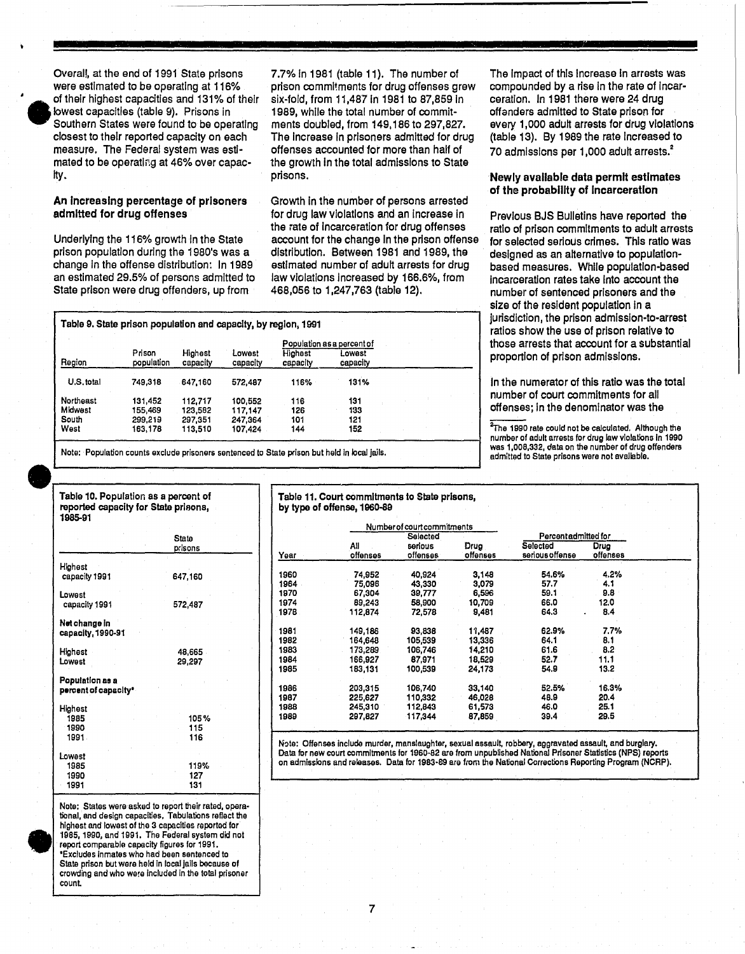

Overall, at the end of 1991 State prisons were estimated to be operating at 116% of their highest capacities and 131% of their lowest capacities (table 9). Prisons in Southern States were found to be operating closest to their reported capacity on each measure. The Federal system was estimated to be operating at 46% over capac-Ity.

# An Increasing percentage of prisoners admitted for drug offenses

Underlying the 116% growth In the State prison population during the 1980's was a change In the offense distribution: In 1989 an estimated 29.5% of persons admitted to State prison were drug offenders, up from

7.7% In 1981 (table 11). The number of prison commitments for drug offenses grew six-fold, from 11,487 In 1981 to 87,859 In 1989, while the total number of commitments doubled, from 149,186 to 297,827. The Increase In prisoners admitted for drug offenses accounted for more than half of the growth In the total admissions to State prisons.

Growth In the number of persons arrested for drug law violations and an Increase in the rate of incarceration for drug offenses account for the ohange In the prison offense distribution. Between 1981 and 1989, the estimated number of adult arrests for drug law violations increased by 166.6%, from 468,056 to 1,247,763 (table 12).

Table 9. State prison population and capacity, by region, 1991 proportion of prison admissions. Prison Highest Region population u.s. total 749,318 647,160 Northeast 131,452 112,717 Midwest 155,469 123,582 South 299,219 297,351<br>West 163,178 113,510 163,178 Lowest capacity 572,487 100,552 117,147 247,364 107,424 Population as a percent of Highest capacity 116% 131% 116 131<br>126 133 126 133 101 121<br>144 152 152

Note: Population counts exclude prisoners sentenced to State prison but held in local jails.

# Note: Population counts exclude prisoners sentenced to St.<br>
Table 10. Population as a percent of reported capacity for State prisons, 1985-91

|                                         | State<br>prisons   |
|-----------------------------------------|--------------------|
| Highest<br>capacity 1991                | 647,160            |
| Lowest<br>capacity 1991                 | 572,487            |
| Net change in<br>capacity, 1990-91      |                    |
| Highest<br>Lowest                       | 48,665<br>29,297   |
| Population as a<br>percent of capacity* |                    |
| Highest<br>1985<br>1990<br>1991         | 105%<br>115<br>116 |
| Lowast<br>1985<br>1990<br>1991          | 119%<br>127<br>131 |
|                                         |                    |

Note:<br>
tional<br>
lighte<br>
1985,<br>
report<br>
Exclusion<br>
State<br>
crowds<br>
count Note: States were asked to report their rated, operational, and design capacities, Tabulations reflact the highest and lowest of the 3 capacities reported for 1985,1990, and 1991. The Federal system did not report comparable capacity figures for 1991. ·Excludes Inmates who had been sentenced to State prison but were held in local jails because <sup>0</sup>' crowding and who were included in the total prisoner count

# Table 11. Court commitments to State prisons, by type of offense, 196D-89 Number of court commitments

Selected Percentadmitted for All serious Drug Selected Drug Year offenses offenses offenses serious offense 1960 74,952 40,924 3,148 54.6% 4.2% 1964 75,096 43,330 3,079 57.7 4.1 1970 67,304 39,777 6,596 59.1 9.8 1974 89,243 58,900 10,709 66.0 12.0 1978 112,874 72.578 9,481 64.3 8.4 1981 149,186 93,838 11,487 62.9% 7.7% 1982 164,648 105,539 13,336 64.1 8.1 1983 173,289 106,746 14,210 61.6 8.2 1984 166,927 87,971 18.529 52.7 11.1 1985 183,131 100,539 24.173 54.9 13.2 1986 203,315 106,740 33,140 52.5% 16.3% 1987 225,627 110,332 46,028 48.9 20.4 1988 245,310 112,843 61,573 46.0 25.1 1989 297,827 117,344 87,859 39.4 29.5

Note: Offenses include murder, manslaughter, sexual assault, robbery, aggravated assault, and burglary. Data for new court commitments for 1960·82 are from unpublished National Prisoner Statistics (NPS) reports on admissions and releases. Data for 1983-89 are from the National Corrections Reporting Program (NCRP).

The Impact of this Increase In arrests was compounded by a rise In the rate of Incarceration. In 1981 there were 24 drug offanders admitted to State prison for every 1,000 adult arrests for drug violations (table 13). By 1989 the rate Increased to 70 admissions per 1,000 adult arrests.<sup>2</sup>

# Newly available data permit estimates of the probability of Incarceration

Previous BJS Bulletins have reported the ratio of prison commitments to adult arrests for selected serious crimes. This ratio was designed as an alternative to populationbased measures. While population-based Incarceration rates take Into account the number of sentenced prisoners and the size of the resident population in a jurisdiction, the prison admlsslon-to-arrest ratios show the use of prison relative to those arrests that account for a substantial

In the numerator of this ratio was the total number of court commitments for all offenses; In the denominator was the

 $2$ The 1990 rate could not be calculated. Although the number of adult arrests for drug law violations In 1990 was 1,008,332, data on the number of drug offenders admitted to State prisons were not available.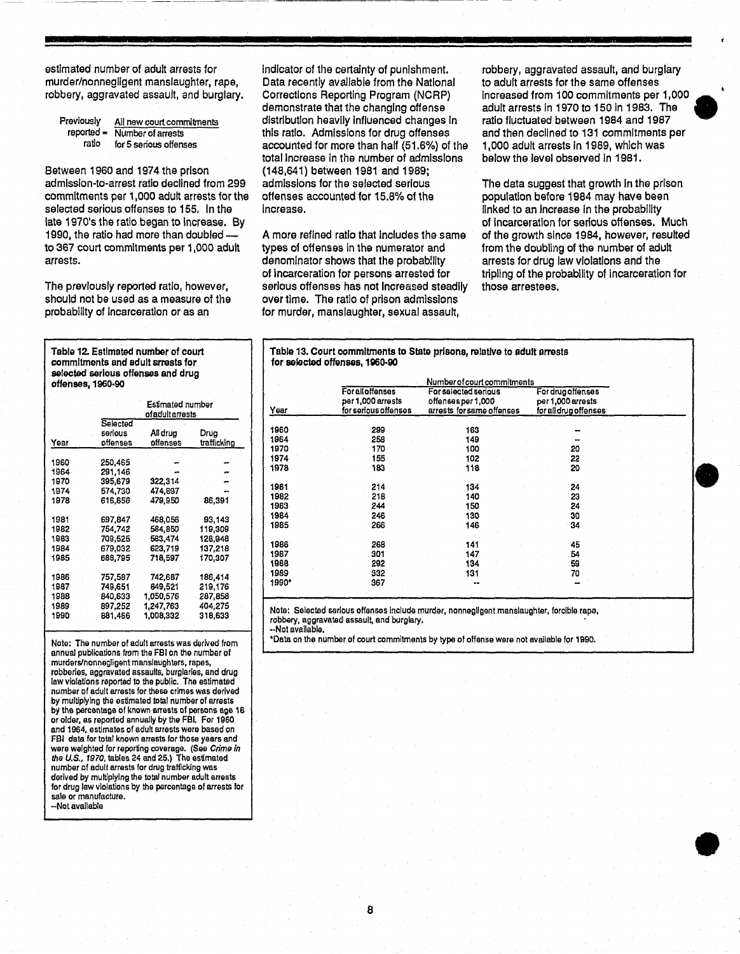estimated number of adult arrests for murder/nonnegligent manslaughter. rape. robbery. aggravated assault. and burglary.

| Previously   | All new court commitments |
|--------------|---------------------------|
| reported $=$ | Number of arrests         |
| ratio        | for 5 serious offenses    |

Between 1960 and 1974 the prison admlsslon-to-arrest ratio declined from 299 commitments per 1,000 adult arrests for the selected serious offenses to 155. In the late 1970's the ratio began to Increase. By 1990. the ratio had more than doubledto 367 court commitments per 1.000 adult arrests.

The previously reported ratio, however, should not be used as a measure of the probability of Incarceration or as an

Table 12. Estimated number of court commitments and adult srrests for selected serious offenses and drug offenses. 1960-90

|      | Estimated number<br>ofadultarrests |           |             |  |  |
|------|------------------------------------|-----------|-------------|--|--|
|      | Selected<br>serious                | All drug  | Drug        |  |  |
| Year | offenses                           | offenses  | trafficking |  |  |
| 1960 | 250.465                            |           |             |  |  |
| 1964 | 291,146                            |           |             |  |  |
| 1970 | 395.679                            | 322,314   |             |  |  |
| 1974 | 574.730                            | 474.897   |             |  |  |
| 1978 | 616.656                            | 479.950   | 86.391      |  |  |
| 1981 | 697.847                            | 468,056   | 93.143      |  |  |
| 1982 | 754.742                            | 584,850   | 119.309     |  |  |
| 1983 | 709,525                            | 583,474   | 128,948     |  |  |
| 1984 | 679.032                            | 623.719   | 137,218     |  |  |
| 1985 | 688,795                            | 718,597   | 170,307     |  |  |
| 1986 | 757.587                            | 742,687   | 186,414     |  |  |
| 1987 | 749.651                            | 849.521   | 219,176     |  |  |
| 1988 | 840,633                            | 1,050,576 | 287,858     |  |  |
| 1989 | 897.252                            | 1,247,763 | 404,275     |  |  |
| 1990 | 881.466                            | 1.008,332 | 318,633     |  |  |
|      |                                    |           |             |  |  |

Noto: The number of adult arrests was derived from annual publications from the FBI on the number of mutderslnonnegligant manslaughtars, rapas, robberies, aggravated assaults, bUrglaries, and drug law violations reported to the public. The estimatad number of adult arrests for these crimes was derived by multiplying the estimated total number of arrests by the percentage of known arrests of persons age 18 or older, as reported annually by the FBI. For 1960 and 1964, estimates of adult arrests were based on FBI data for total known arrests for those years and were weighted for reporting coverage. (See Crime in the U.S., 1970, tables 24 and 25.) The estimated number of adull arrests for drug trafficking was derived by multiplying the total number adult arrests for drug law violations by the percentage of arrests for sele or manufacture. -Not available

Indicator of the certainty of punishment. Data recently avallabie from the National Corrections Reporting Program (NCRP) demonstrate that the changing offense distribution heavily Influenced changes In this ratio. Admissions for drug offenses accountad for more than half (51.6%) of the total Increase In the number of admissions (148.641) between 1981 and 1989; admissions for the selected serious offenses accounted for 15.8% of the Increase.

A more refined ratio that Includes the same types of offenses In the numerator and denominator shows that the probability of incarceration for persons arrested for serious offenses has not Increased steadily over time. The ratio of prison admissions for murder. manslaughter. sexual assault.

robbery. aggravated assault. and burglary to adult arrests for the same offenses Increased from 100 commitments per 1.000 • adult arrests In 1970 to 150 In 1983. The ratio fluctuated between 1984 and 1987 and then declined to 131 commitments per 1,000 adult arrests in 1989, which was below the level observed In 1981.

The data suggest that growth In the prison population before 1984 may have been linked to an Increase in the probability of Incarceration for serious offenses, Much of the growth since 1984, however. resulted from the doubling of the number of adult arrests for drug law violations and the tripling of the probability of Incarceration for those arrestees.

•

•

•

Table 13. Court commitments to State prisons, relative to adult arrests for selected offenses, 1960-90

|       |                                                                      | Number of court commitments                                             |                                                                 |  |  |
|-------|----------------------------------------------------------------------|-------------------------------------------------------------------------|-----------------------------------------------------------------|--|--|
| Year  | <b>For all offenses</b><br>per 1,000 arrests<br>for serious offenses | For selected serious<br>offenses per 1,000<br>arrests for same offenses | For drug offenses<br>per 1,000 arrests<br>for all drug offenses |  |  |
| 1960  | 299                                                                  | 163                                                                     |                                                                 |  |  |
| 1964  | 258                                                                  | 149                                                                     |                                                                 |  |  |
| 1970  | 170                                                                  | 100                                                                     | 20                                                              |  |  |
| 1974  | 155                                                                  | 102                                                                     | 22                                                              |  |  |
| 1978  | 183                                                                  | 118                                                                     | 20                                                              |  |  |
| 1981  | 214                                                                  | 134                                                                     | 24                                                              |  |  |
| 1982  | 218                                                                  | 140                                                                     | 23                                                              |  |  |
| 1983  | 244                                                                  | 150                                                                     | 24                                                              |  |  |
| 1984  | 246                                                                  | 130                                                                     | 30                                                              |  |  |
| 1985  | 266                                                                  | 146                                                                     | 34                                                              |  |  |
| 1986  | 268                                                                  | 141                                                                     | 45                                                              |  |  |
| 1987  | 301                                                                  | 147                                                                     | 54                                                              |  |  |
| 1988  | 292                                                                  | 134                                                                     | 59                                                              |  |  |
| 1989  | 332                                                                  | 131                                                                     | 70                                                              |  |  |
| 1990* | 367                                                                  |                                                                         |                                                                 |  |  |

Note: Seloctad serious offenses Include murder, nonnagllgent manslaughter, forcible rape, robbery, aggravated assault, and burglary.

-·Not available. 'Date. on the number of court commitments by type of offense were not available lar 1990.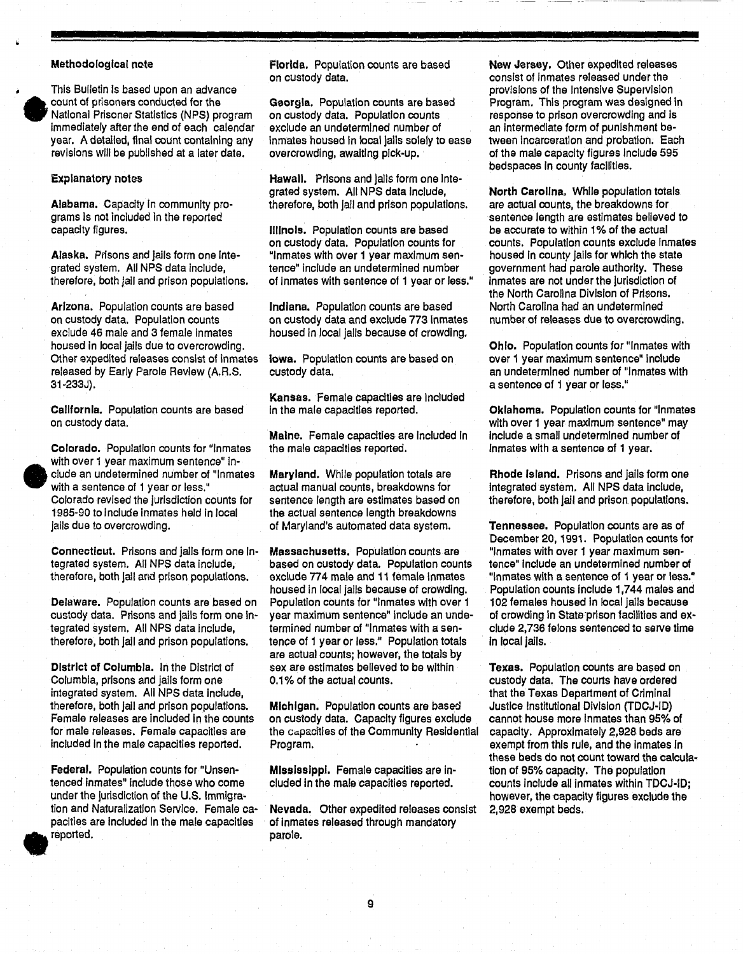### MethodologIcal note

This Bulletin Is based upon an advance count of prisoners conducted for the National Prisoner Statistics (NPS) program Immediately after the end of each calendar year. A detailed, flnal count containing any revisions will be published at a later date.

### Explanatory notes

•

•

Alabama. Capacity In community programs Is not Included In the reported capacity figures.

Alaska. Prisons and Jails form one Integrated system. All NPS data Include, therefore, both jail and prison populations.

Arizona. Population counts are based on custody data. Population counts exclude 46 male and 3 female Inmates housed in local jails due to overcrowding. Other expedited releases consist of inmates released by Early Parole Review (A.R.S. 31-233J).

California. Population counts are based on custody data.

Colorado. Population counts for "Inmates with over 1 year maximum sentence" in elude an undetermined number of "Inmates with a sentence of 1 year or less." Colorado revised the jurisdiction counts for 1985-90 to Include Inmates held In local jails due to overcrowding.

Connecticut. Prisons and jails form one Integrated system. All NPS data Include, therefore, both jail and prison populations.

Delaware. Population counts are based on custody data. Prisons and jails form one integrated system. All NPS data Include, therefore, both Jail and prison populations.

DistrIct of Columbia. In the District of Columbia, prisons and jails form one integrated system. All NPS data Include, therefore, both jail and prison populations. Female releases are included in the counts for male releases. Female capacities are included In the male capacities reported.

Federal. Population counts for "Unsentenced inmates" include those who come under the jurisdiction of the U.S. Immigration and Naturalization Service. Female capacities are included in the male capacities • reported.

Florida. Population counts are based on custody data.

Georgia. Population counts are based on custody data. Population counts exclude an undetermined number of Inmates housed In local Jails solely to ease overcrowding, awaiting pick-Up.

Hawall. Prisons and lails form one integrated system. All NPS data Include, therefore, both Jail and prison populations.

illinois. Population counts are based on custody data. Population counts for "Inmates with over 1 year maximum sentence" Include an undetermined number of inmates with sentence of 1 year or loss."

Indiana. Population counts are based on custody data and exclude 773 Inmates housed in local jails because of crowding.

Iowa. Population counts are based on custody data.

Kansas. Female capacities are Included in the male capacities reported.

Maine. Female capacities are included in the male capacities reported.

Maryland. While population totals are actual manual counts, breakdowns for sentence length are estimates based on the actual sentence length breakdowns of Maryland's automated data system.

Massachusetts. Population counts are based on custody data. Population counts exclude 774 male and 11 female Inmates housed in local jails because of crowding. Popuiatlon counts for "Inmates with over 1 year maximum sentence" include an undetermined number of "Inmates with a sentence of 1 year or less." Population totals are actual counts; however, the totals by sex are estimates believed to be within 0.1 % of the actual counts.

Michigan. Population counts are based on custody data. Capacity figures exclude the Capacities of the Community Residential Program.

Mississippi. Female capacities are included in the mala capacities reported.

Nevada. Other expedited releases consist of inmates released through mandatory parole.

New Jersey. Other expedited releases consist of inmates released under the provisions of the Intensive Supervision Program. This program was designed In response to prison overcrowding and Is an intermediate form of punishment between Incarceration and probation. Each of the male capacity figures Include 595 bedspaces in county facilities.

North Carolina, While popuiatlon totals are actual counts, the breakdowns for sentence length are estimates believed to be accurate to within 1% of the actual counts. Population counts exclude Inmates housed in county jails for which the state government had parole authority. These Inmates are not under the Jurisdiction of the North Carolina Division of Prisons. North Carolina had an undetermined number of releases due to overcrowding.

Ohio. Population counts for "Inmates with over 1 year maximum sentence" include an undetermined number of "Inmates with a sentence of 1 year or less."

Oklahoma. Population counts for "Inmates with over 1 year maximum sentence" may include a small undetermined number of Inmates with a sentence of 1 year.

Rhode Island. Prisons and jails form one integrated system. All NPS data Include, therefore, both jail and prison populations.

Tennessee. Population counts are as of December 20, 1991. Population counts for "Inmates with over 1 year maximum sentence" Include an undetermined number of "Inmates with a sentence of 1 year or less." Population counts Include 1,744 males and 102 females housed In local Jails because of crowding in State prison facilities and exclude 2,736 felons sentenced to serve time in local jails.

Texas. Population counts are based on custody data. The courts have ordered that the Texas Department of Criminal Justice Institutional Division (TDCJ-ID) cannot house more inmates than 95% of capacity. Approximately 2,928 beds are exempt from this rule, and the inmates in these beds do not count toward the calculation of 95% capacity. The population counts Include all inmates within TDCJ-ID; however, the capacity figures exclude the 2,928 exempt beds.